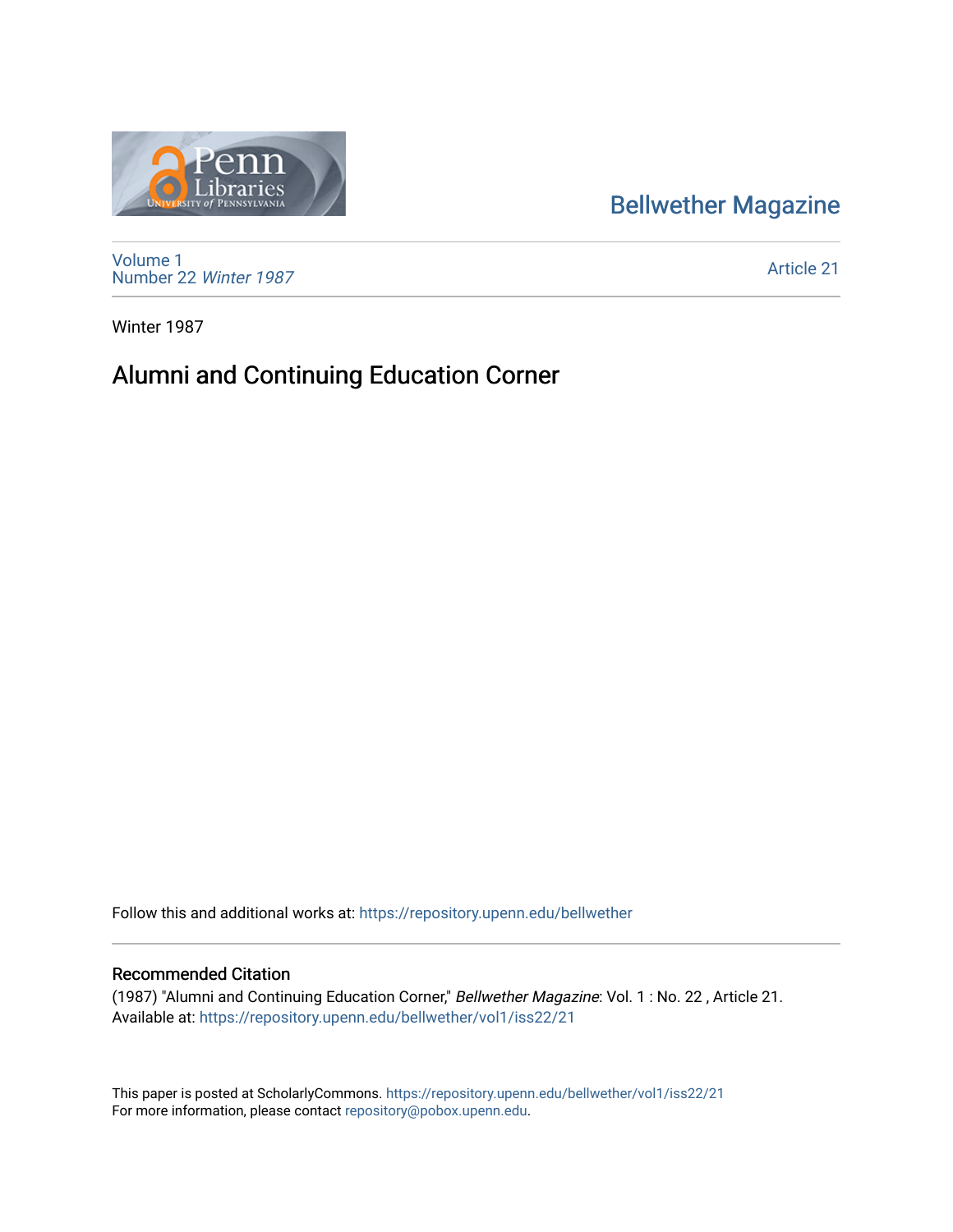## [Bellwether Magazine](https://repository.upenn.edu/bellwether)



[Volume 1](https://repository.upenn.edu/bellwether/vol1) [Number 22](https://repository.upenn.edu/bellwether/vol1/iss22) Winter 1987

[Article 21](https://repository.upenn.edu/bellwether/vol1/iss22/21) 

Winter 1987

# Alumni and Continuing Education Corner

Follow this and additional works at: [https://repository.upenn.edu/bellwether](https://repository.upenn.edu/bellwether?utm_source=repository.upenn.edu%2Fbellwether%2Fvol1%2Fiss22%2F21&utm_medium=PDF&utm_campaign=PDFCoverPages) 

#### Recommended Citation

(1987) "Alumni and Continuing Education Corner," Bellwether Magazine: Vol. 1 : No. 22 , Article 21. Available at: [https://repository.upenn.edu/bellwether/vol1/iss22/21](https://repository.upenn.edu/bellwether/vol1/iss22/21?utm_source=repository.upenn.edu%2Fbellwether%2Fvol1%2Fiss22%2F21&utm_medium=PDF&utm_campaign=PDFCoverPages) 

This paper is posted at ScholarlyCommons.<https://repository.upenn.edu/bellwether/vol1/iss22/21> For more information, please contact [repository@pobox.upenn.edu.](mailto:repository@pobox.upenn.edu)